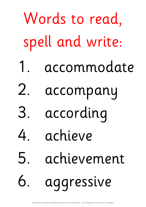| Words to read,   |                |
|------------------|----------------|
| spell and write: |                |
|                  | 1. accommodate |
| 2.               | accompany      |
|                  | 3. according   |
|                  | 4. achieve     |
|                  | 5. achievement |
|                  | 6. aggressive  |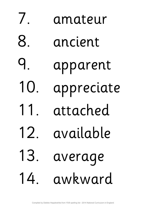7. amateur 8. ancient 9. apparent 10. appreciate 11. attached 12. available 13. average 14. awkward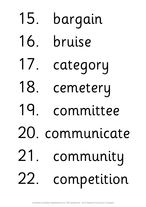## 15. bargain 16. bruise 17. category 18. cemetery 19. committee 20. communicate 21. community 22. competition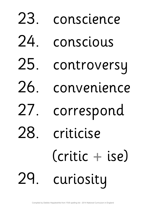23. conscience 24. conscious 25. controversy 26. convenience 27. correspond 28. criticise (critic + ise) 29. curiosity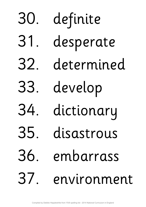30. definite 31. desperate 32. determined 33. develop 34. dictionary 35. disastrous 36. embarrass 37. environment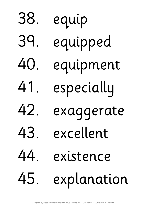38. equip 39. equipped 40. equipment 41. especially 42. exaggerate 43. excellent 44. existence 45. explanation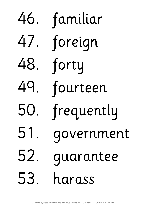48. forty

46. familiar 47. foreign 49. fourteen 50. frequently 51. government 52. guarantee 53. harass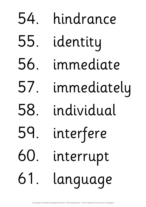54. hindrance 55. identity 56. immediate 57. immediately 58. individual 59. interfere 60. interrupt 61. language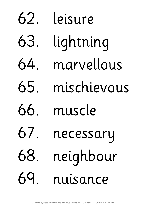62. leisure 63. lightning 64. marvellous 65. mischievous 66. muscle 67. necessary 68. neighbour 69. nuisance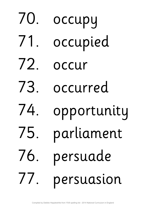70. occupy 71. occupied 72. occur 73. occurred 74. opportunity 75. parliament 76. persuade 77. persuasion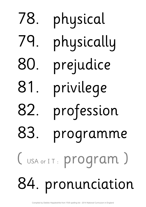78. physical 79. physically 80. prejudice 81. privilege 82. profession 83. programme (USA or IT: program) 84. pronunciation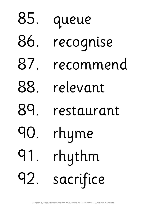85. queue 86. recognise 87. recommend 88. relevant 89. restaurant 90. rhyme 91. rhythm 92. sacrifice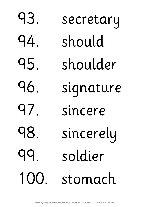93. secretary 94. should 95. shoulder 96. signature 97. sincere 98. sincerely 99. soldier 100. stomach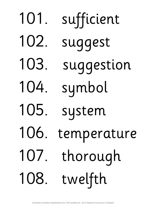101. sufficient 102. suggest 103. suggestion 104. symbol 105. system 106. temperature 107. thorough 108. twelfth